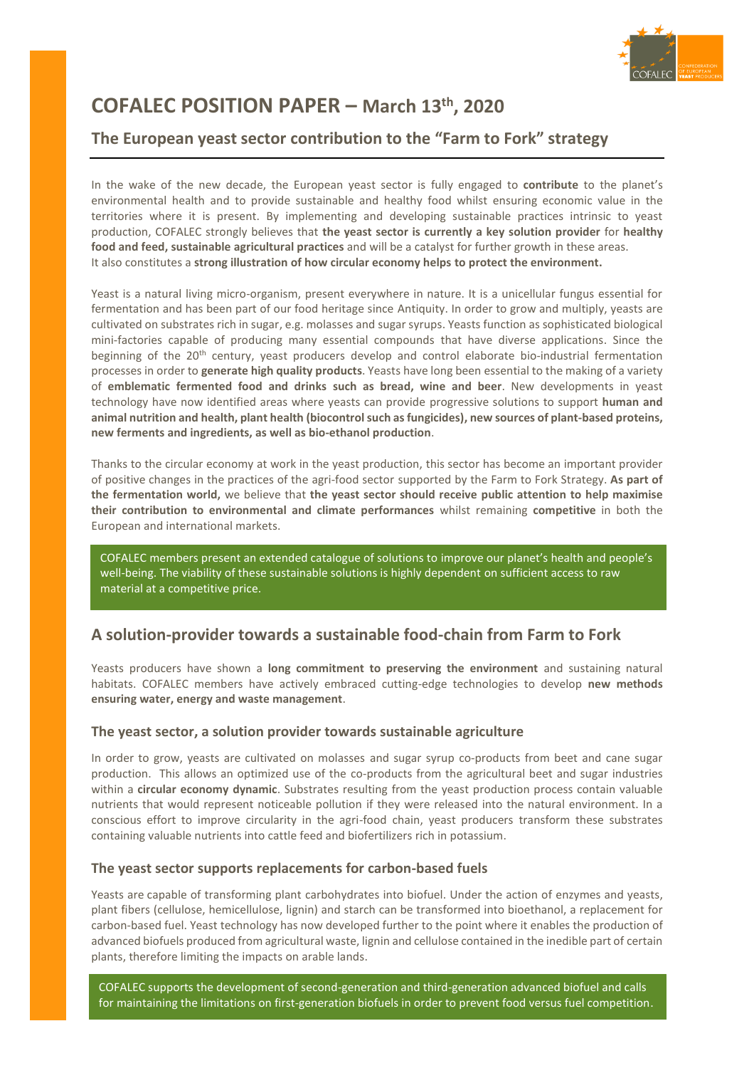

# **COFALEC POSITION PAPER – March 13th, 2020**

### **The European yeast sector contribution to the "Farm to Fork" strategy**

In the wake of the new decade, the European yeast sector is fully engaged to **contribute** to the planet's environmental health and to provide sustainable and healthy food whilst ensuring economic value in the territories where it is present. By implementing and developing sustainable practices intrinsic to yeast production, COFALEC strongly believes that **the yeast sector is currently a key solution provider** for **healthy food and feed, sustainable agricultural practices** and will be a catalyst for further growth in these areas. It also constitutes a **strong illustration of how circular economy helps to protect the environment.**

Yeast is a natural living micro-organism, present everywhere in nature. It is a unicellular fungus essential for fermentation and has been part of our food heritage since Antiquity. In order to grow and multiply, yeasts are cultivated on substrates rich in sugar, e.g. molasses and sugar syrups. Yeasts function as sophisticated biological mini-factories capable of producing many essential compounds that have diverse applications. Since the beginning of the 20<sup>th</sup> century, yeast producers develop and control elaborate bio-industrial fermentation processes in order to **generate high quality products**. Yeasts have long been essential to the making of a variety of **emblematic fermented food and drinks such as bread, wine and beer**. New developments in yeast technology have now identified areas where yeasts can provide progressive solutions to support **human and animal nutrition and health, plant health (biocontrol such as fungicides), new sources of plant-based proteins, new ferments and ingredients, as well as bio-ethanol production**.

Thanks to the circular economy at work in the yeast production, this sector has become an important provider of positive changes in the practices of the agri-food sector supported by the Farm to Fork Strategy. **As part of the fermentation world,** we believe that **the yeast sector should receive public attention to help maximise their contribution to environmental and climate performances** whilst remaining **competitive** in both the European and international markets.

COFALEC members present an extended catalogue of solutions to improve our planet's health and people's well-being. The viability of these sustainable solutions is highly dependent on sufficient access to raw material at a competitive price.

### **A solution-provider towards a sustainable food-chain from Farm to Fork**

Yeasts producers have shown a **long commitment to preserving the environment** and sustaining natural habitats. COFALEC members have actively embraced cutting-edge technologies to develop **new methods ensuring water, energy and waste management**.

### **The yeast sector, a solution provider towards sustainable agriculture**

In order to grow, yeasts are cultivated on molasses and sugar syrup co-products from beet and cane sugar production. This allows an optimized use of the co-products from the agricultural beet and sugar industries within a **circular economy dynamic**. Substrates resulting from the yeast production process contain valuable nutrients that would represent noticeable pollution if they were released into the natural environment. In a conscious effort to improve circularity in the agri-food chain, yeast producers transform these substrates containing valuable nutrients into cattle feed and biofertilizers rich in potassium.

### **The yeast sector supports replacements for carbon-based fuels**

Yeasts are capable of transforming plant carbohydrates into biofuel. Under the action of enzymes and yeasts, plant fibers (cellulose, hemicellulose, lignin) and starch can be transformed into bioethanol, a replacement for carbon-based fuel. Yeast technology has now developed further to the point where it enables the production of advanced biofuels produced from agricultural waste, lignin and cellulose contained in the inedible part of certain plants, therefore limiting the impacts on arable lands.

1<br>1<br>1 COFALEC supports the development of second-generation and third-generation advanced biofuel and calls for maintaining the limitations on first-generation biofuels in order to prevent food versus fuel competition.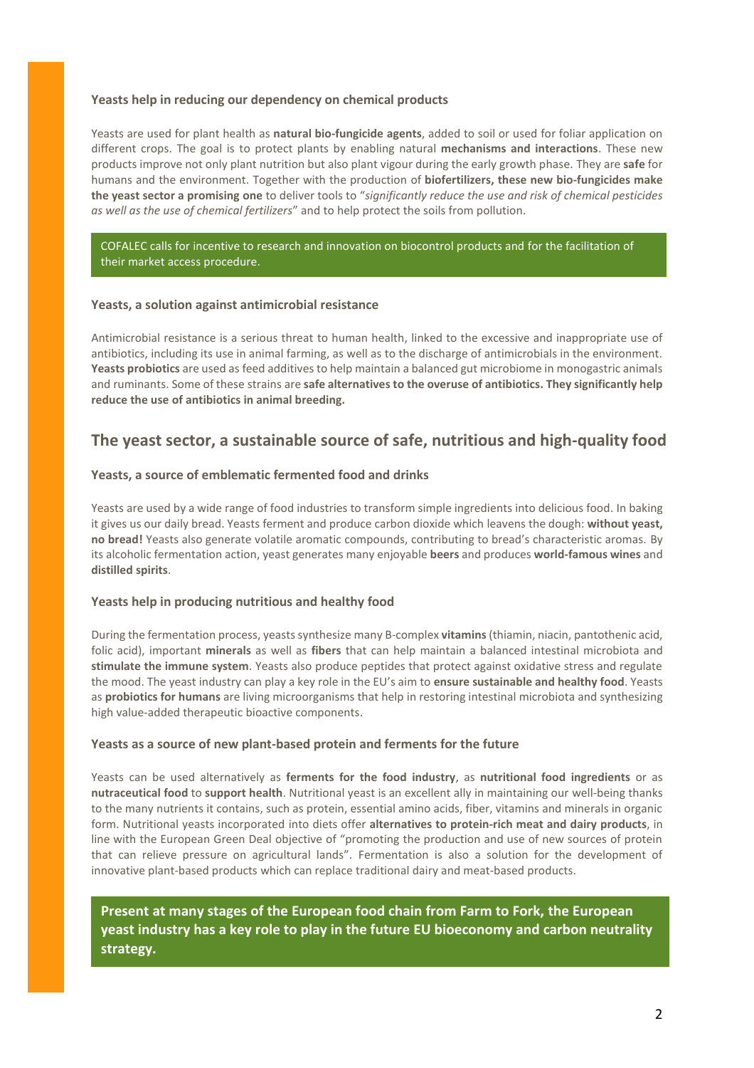#### **Yeasts help in reducing our dependency on chemical products**

Yeasts are used for plant health as **natural bio-fungicide agents**, added to soil or used for foliar application on different crops. The goal is to protect plants by enabling natural **mechanisms and interactions**. These new products improve not only plant nutrition but also plant vigour during the early growth phase. They are **safe** for humans and the environment. Together with the production of **biofertilizers, these new bio-fungicides make the yeast sector a promising one** to deliver tools to "*significantly reduce the use and risk of chemical pesticides as well as the use of chemical fertilizers*" and to help protect the soils from pollution.

COFALEC calls for incentive to research and innovation on biocontrol products and for the facilitation of their market access procedure.

#### **Yeasts, a solution against antimicrobial resistance**

Antimicrobial resistance is a serious threat to human health, linked to the excessive and inappropriate use of antibiotics, including its use in animal farming, as well as to the discharge of antimicrobials in the environment. **Yeasts probiotics** are used as feed additives to help maintain a balanced gut microbiome in monogastric animals and ruminants. Some of these strains are **safe alternatives to the overuse of antibiotics. They significantly help reduce the use of antibiotics in animal breeding.** 

### **The yeast sector, a sustainable source of safe, nutritious and high-quality food**

#### **Yeasts, a source of emblematic fermented food and drinks**

Yeasts are used by a wide range of food industries to transform simple ingredients into delicious food. In baking it gives us our daily bread. Yeasts ferment and produce carbon dioxide which leavens the dough: **without yeast, no bread!** Yeasts also generate volatile aromatic compounds, contributing to bread's characteristic aromas. By its alcoholic fermentation action, yeast generates many enjoyable **beers** and produces **world-famous wines** and **distilled spirits**.

#### **Yeasts help in producing nutritious and healthy food**

During the fermentation process, yeasts synthesize many B-complex **vitamins**(thiamin, niacin, pantothenic acid, folic acid), important **minerals** as well as **fibers** that can help maintain a balanced intestinal microbiota and **stimulate the immune system**. Yeasts also produce peptides that protect against oxidative stress and regulate the mood. The yeast industry can play a key role in the EU's aim to **ensure sustainable and healthy food**. Yeasts as **probiotics for humans** are living microorganisms that help in restoring intestinal microbiota and synthesizing high value-added therapeutic bioactive components.

#### **Yeasts as a source of new plant-based protein and ferments for the future**

Yeasts can be used alternatively as **ferments for the food industry**, as **nutritional food ingredients** or as **nutraceutical food** to **support health**. Nutritional yeast is an excellent ally in maintaining our well-being thanks to the many nutrients it contains, such as protein, essential amino acids, fiber, vitamins and minerals in organic form. Nutritional yeasts incorporated into diets offer **alternatives to protein-rich meat and dairy products**, in line with the European Green Deal objective of "promoting the production and use of new sources of protein that can relieve pressure on agricultural lands". Fermentation is also a solution for the development of innovative plant-based products which can replace traditional dairy and meat-based products.

**Present at many stages of the European food chain from Farm to Fork, the European yeast industry has a key role to play in the future EU bioeconomy and carbon neutrality strategy.**